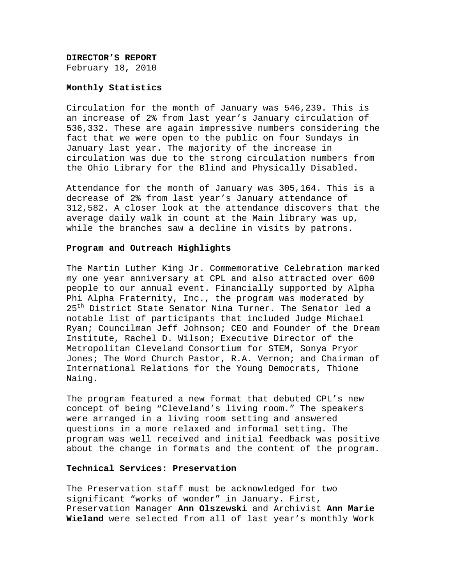# **DIRECTOR'S REPORT**  February 18, 2010

#### **Monthly Statistics**

Circulation for the month of January was 546,239. This is an increase of 2% from last year's January circulation of 536,332. These are again impressive numbers considering the fact that we were open to the public on four Sundays in January last year. The majority of the increase in circulation was due to the strong circulation numbers from the Ohio Library for the Blind and Physically Disabled.

Attendance for the month of January was 305,164. This is a decrease of 2% from last year's January attendance of 312,582. A closer look at the attendance discovers that the average daily walk in count at the Main library was up, while the branches saw a decline in visits by patrons.

#### **Program and Outreach Highlights**

The Martin Luther King Jr. Commemorative Celebration marked my one year anniversary at CPL and also attracted over 600 people to our annual event. Financially supported by Alpha Phi Alpha Fraternity, Inc., the program was moderated by 25<sup>th</sup> District State Senator Nina Turner. The Senator led a notable list of participants that included Judge Michael Ryan; Councilman Jeff Johnson; CEO and Founder of the Dream Institute, Rachel D. Wilson; Executive Director of the Metropolitan Cleveland Consortium for STEM, Sonya Pryor Jones; The Word Church Pastor, R.A. Vernon; and Chairman of International Relations for the Young Democrats, Thione Naing.

The program featured a new format that debuted CPL's new concept of being "Cleveland's living room." The speakers were arranged in a living room setting and answered questions in a more relaxed and informal setting. The program was well received and initial feedback was positive about the change in formats and the content of the program.

## **Technical Services: Preservation**

The Preservation staff must be acknowledged for two significant "works of wonder" in January. First, Preservation Manager **Ann Olszewski** and Archivist **Ann Marie Wieland** were selected from all of last year's monthly Work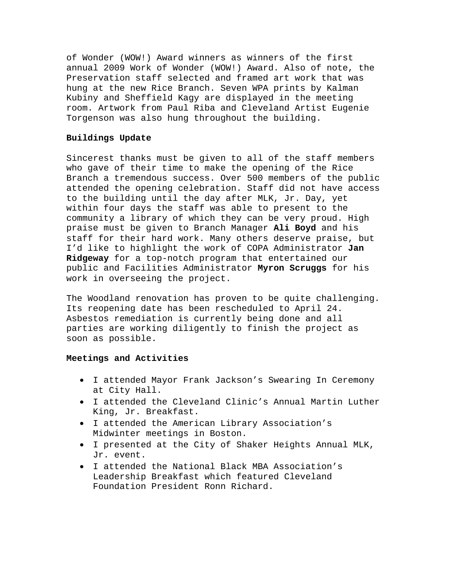of Wonder (WOW!) Award winners as winners of the first annual 2009 Work of Wonder (WOW!) Award. Also of note, the Preservation staff selected and framed art work that was hung at the new Rice Branch. Seven WPA prints by Kalman Kubiny and Sheffield Kagy are displayed in the meeting room. Artwork from Paul Riba and Cleveland Artist Eugenie Torgenson was also hung throughout the building.

# **Buildings Update**

Sincerest thanks must be given to all of the staff members who gave of their time to make the opening of the Rice Branch a tremendous success. Over 500 members of the public attended the opening celebration. Staff did not have access to the building until the day after MLK, Jr. Day, yet within four days the staff was able to present to the community a library of which they can be very proud. High praise must be given to Branch Manager **Ali Boyd** and his staff for their hard work. Many others deserve praise, but I'd like to highlight the work of COPA Administrator **Jan Ridgeway** for a top-notch program that entertained our public and Facilities Administrator **Myron Scruggs** for his work in overseeing the project.

The Woodland renovation has proven to be quite challenging. Its reopening date has been rescheduled to April 24. Asbestos remediation is currently being done and all parties are working diligently to finish the project as soon as possible.

## **Meetings and Activities**

- I attended Mayor Frank Jackson's Swearing In Ceremony at City Hall.
- I attended the Cleveland Clinic's Annual Martin Luther King, Jr. Breakfast.
- I attended the American Library Association's Midwinter meetings in Boston.
- I presented at the City of Shaker Heights Annual MLK, Jr. event.
- I attended the National Black MBA Association's Leadership Breakfast which featured Cleveland Foundation President Ronn Richard.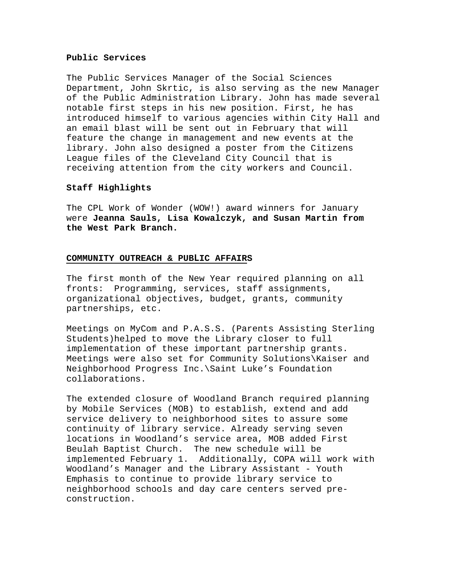## **Public Services**

The Public Services Manager of the Social Sciences Department, John Skrtic, is also serving as the new Manager of the Public Administration Library. John has made several notable first steps in his new position. First, he has introduced himself to various agencies within City Hall and an email blast will be sent out in February that will feature the change in management and new events at the library. John also designed a poster from the Citizens League files of the Cleveland City Council that is receiving attention from the city workers and Council.

## **Staff Highlights**

The CPL Work of Wonder (WOW!) award winners for January were **Jeanna Sauls, Lisa Kowalczyk, and Susan Martin from the West Park Branch.**

## **COMMUNITY OUTREACH & PUBLIC AFFAIRS**

The first month of the New Year required planning on all fronts: Programming, services, staff assignments, organizational objectives, budget, grants, community partnerships, etc.

Meetings on MyCom and P.A.S.S. (Parents Assisting Sterling Students)helped to move the Library closer to full implementation of these important partnership grants. Meetings were also set for Community Solutions\Kaiser and Neighborhood Progress Inc.\Saint Luke's Foundation collaborations.

The extended closure of Woodland Branch required planning by Mobile Services (MOB) to establish, extend and add service delivery to neighborhood sites to assure some continuity of library service. Already serving seven locations in Woodland's service area, MOB added First Beulah Baptist Church. The new schedule will be implemented February 1. Additionally, COPA will work with Woodland's Manager and the Library Assistant - Youth Emphasis to continue to provide library service to neighborhood schools and day care centers served preconstruction.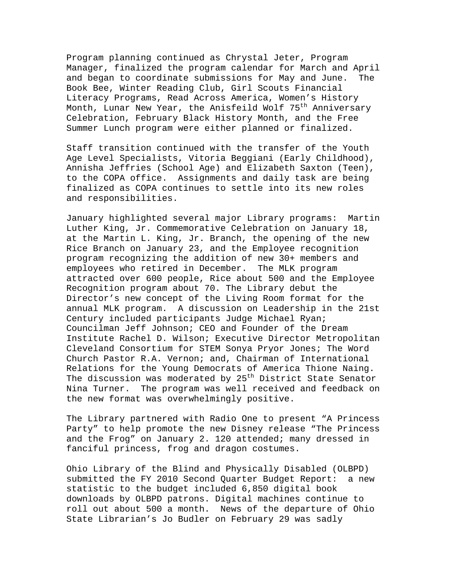Program planning continued as Chrystal Jeter, Program Manager, finalized the program calendar for March and April and began to coordinate submissions for May and June. The Book Bee, Winter Reading Club, Girl Scouts Financial Literacy Programs, Read Across America, Women's History Month, Lunar New Year, the Anisfeild Wolf 75<sup>th</sup> Anniversary Celebration, February Black History Month, and the Free Summer Lunch program were either planned or finalized.

Staff transition continued with the transfer of the Youth Age Level Specialists, Vitoria Beggiani (Early Childhood), Annisha Jeffries (School Age) and Elizabeth Saxton (Teen), to the COPA office. Assignments and daily task are being finalized as COPA continues to settle into its new roles and responsibilities.

January highlighted several major Library programs: Martin Luther King, Jr. Commemorative Celebration on January 18, at the Martin L. King, Jr. Branch, the opening of the new Rice Branch on January 23, and the Employee recognition program recognizing the addition of new 30+ members and employees who retired in December. The MLK program attracted over 600 people, Rice about 500 and the Employee Recognition program about 70. The Library debut the Director's new concept of the Living Room format for the annual MLK program. A discussion on Leadership in the 21st Century included participants Judge Michael Ryan; Councilman Jeff Johnson; CEO and Founder of the Dream Institute Rachel D. Wilson; Executive Director Metropolitan Cleveland Consortium for STEM Sonya Pryor Jones; The Word Church Pastor R.A. Vernon; and, Chairman of International Relations for the Young Democrats of America Thione Naing. The discussion was moderated by  $25<sup>th</sup>$  District State Senator Nina Turner. The program was well received and feedback on the new format was overwhelmingly positive.

The Library partnered with Radio One to present "A Princess Party" to help promote the new Disney release "The Princess and the Frog" on January 2. 120 attended; many dressed in fanciful princess, frog and dragon costumes.

Ohio Library of the Blind and Physically Disabled (OLBPD) submitted the FY 2010 Second Quarter Budget Report: a new statistic to the budget included 6,850 digital book downloads by OLBPD patrons. Digital machines continue to roll out about 500 a month. News of the departure of Ohio State Librarian's Jo Budler on February 29 was sadly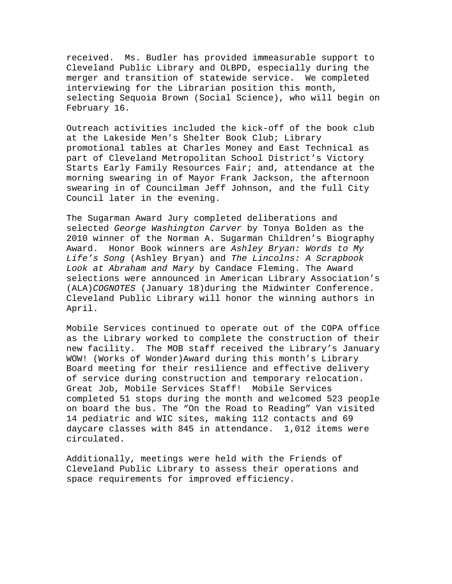received. Ms. Budler has provided immeasurable support to Cleveland Public Library and OLBPD, especially during the merger and transition of statewide service. We completed interviewing for the Librarian position this month, selecting Sequoia Brown (Social Science), who will begin on February 16.

Outreach activities included the kick-off of the book club at the Lakeside Men's Shelter Book Club; Library promotional tables at Charles Money and East Technical as part of Cleveland Metropolitan School District's Victory Starts Early Family Resources Fair; and, attendance at the morning swearing in of Mayor Frank Jackson, the afternoon swearing in of Councilman Jeff Johnson, and the full City Council later in the evening.

The Sugarman Award Jury completed deliberations and selected *George Washington Carver* by Tonya Bolden as the 2010 winner of the Norman A. Sugarman Children's Biography Award. Honor Book winners are *Ashley Bryan: Words to My Life's Song* (Ashley Bryan) and *The Lincolns: A Scrapbook Look at Abraham and Mary* by Candace Fleming. The Award selections were announced in American Library Association's (ALA)*COGNOTES* (January 18)during the Midwinter Conference. Cleveland Public Library will honor the winning authors in April.

Mobile Services continued to operate out of the COPA office as the Library worked to complete the construction of their new facility. The MOB staff received the Library's January WOW! (Works of Wonder)Award during this month's Library Board meeting for their resilience and effective delivery of service during construction and temporary relocation. Great Job, Mobile Services Staff! Mobile Services completed 51 stops during the month and welcomed 523 people on board the bus. The "On the Road to Reading" Van visited 14 pediatric and WIC sites, making 112 contacts and 69 daycare classes with 845 in attendance. 1,012 items were circulated.

Additionally, meetings were held with the Friends of Cleveland Public Library to assess their operations and space requirements for improved efficiency.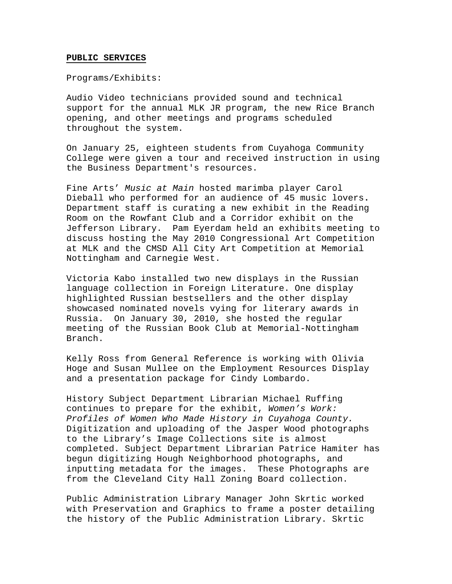#### **PUBLIC SERVICES**

Programs/Exhibits:

Audio Video technicians provided sound and technical support for the annual MLK JR program, the new Rice Branch opening, and other meetings and programs scheduled throughout the system.

On January 25, eighteen students from Cuyahoga Community College were given a tour and received instruction in using the Business Department's resources.

Fine Arts' *Music at Main* hosted marimba player Carol Dieball who performed for an audience of 45 music lovers**.** Department staff is curating a new exhibit in the Reading Room on the Rowfant Club and a Corridor exhibit on the Jefferson Library. Pam Eyerdam held an exhibits meeting to discuss hosting the May 2010 Congressional Art Competition at MLK and the CMSD All City Art Competition at Memorial Nottingham and Carnegie West.

Victoria Kabo installed two new displays in the Russian language collection in Foreign Literature. One display highlighted Russian bestsellers and the other display showcased nominated novels vying for literary awards in Russia. On January 30, 2010, she hosted the regular meeting of the Russian Book Club at Memorial-Nottingham Branch.

Kelly Ross from General Reference is working with Olivia Hoge and Susan Mullee on the Employment Resources Display and a presentation package for Cindy Lombardo.

History Subject Department Librarian Michael Ruffing continues to prepare for the exhibit, *Women's Work: Profiles of Women Who Made History in Cuyahoga County.*  Digitization and uploading of the Jasper Wood photographs to the Library's Image Collections site is almost completed. Subject Department Librarian Patrice Hamiter has begun digitizing Hough Neighborhood photographs, and inputting metadata for the images. These Photographs are from the Cleveland City Hall Zoning Board collection.

Public Administration Library Manager John Skrtic worked with Preservation and Graphics to frame a poster detailing the history of the Public Administration Library. Skrtic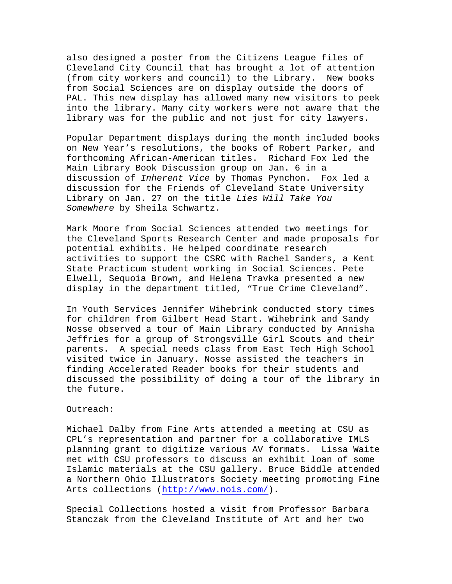also designed a poster from the Citizens League files of Cleveland City Council that has brought a lot of attention (from city workers and council) to the Library. New books from Social Sciences are on display outside the doors of PAL. This new display has allowed many new visitors to peek into the library. Many city workers were not aware that the library was for the public and not just for city lawyers.

Popular Department displays during the month included books on New Year's resolutions, the books of Robert Parker, and forthcoming African-American titles. Richard Fox led the Main Library Book Discussion group on Jan. 6 in a discussion of *Inherent Vice* by Thomas Pynchon. Fox led a discussion for the Friends of Cleveland State University Library on Jan. 27 on the title *Lies Will Take You Somewhere* by Sheila Schwartz.

Mark Moore from Social Sciences attended two meetings for the Cleveland Sports Research Center and made proposals for potential exhibits. He helped coordinate research activities to support the CSRC with Rachel Sanders, a Kent State Practicum student working in Social Sciences. Pete Elwell, Sequoia Brown, and Helena Travka presented a new display in the department titled, "True Crime Cleveland".

In Youth Services Jennifer Wihebrink conducted story times for children from Gilbert Head Start. Wihebrink and Sandy Nosse observed a tour of Main Library conducted by Annisha Jeffries for a group of Strongsville Girl Scouts and their parents. A special needs class from East Tech High School visited twice in January. Nosse assisted the teachers in finding Accelerated Reader books for their students and discussed the possibility of doing a tour of the library in the future.

## Outreach:

Michael Dalby from Fine Arts attended a meeting at CSU as CPL's representation and partner for a collaborative IMLS planning grant to digitize various AV formats. Lissa Waite met with CSU professors to discuss an exhibit loan of some Islamic materials at the CSU gallery. Bruce Biddle attended a Northern Ohio Illustrators Society meeting promoting Fine Arts collections (http://www.nois.com/).

Special Collections hosted a visit from Professor Barbara Stanczak from the Cleveland Institute of Art and her two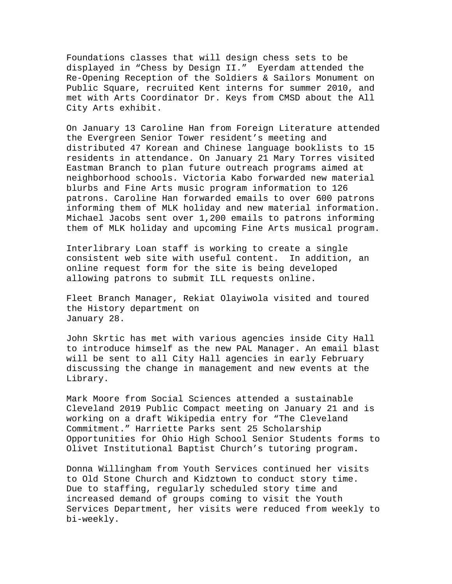Foundations classes that will design chess sets to be displayed in "Chess by Design II." Eyerdam attended the Re-Opening Reception of the Soldiers & Sailors Monument on Public Square, recruited Kent interns for summer 2010, and met with Arts Coordinator Dr. Keys from CMSD about the All City Arts exhibit.

On January 13 Caroline Han from Foreign Literature attended the Evergreen Senior Tower resident's meeting and distributed 47 Korean and Chinese language booklists to 15 residents in attendance. On January 21 Mary Torres visited Eastman Branch to plan future outreach programs aimed at neighborhood schools. Victoria Kabo forwarded new material blurbs and Fine Arts music program information to 126 patrons. Caroline Han forwarded emails to over 600 patrons informing them of MLK holiday and new material information. Michael Jacobs sent over 1,200 emails to patrons informing them of MLK holiday and upcoming Fine Arts musical program.

Interlibrary Loan staff is working to create a single consistent web site with useful content. In addition, an online request form for the site is being developed allowing patrons to submit ILL requests online.

Fleet Branch Manager, Rekiat Olayiwola visited and toured the History department on January 28.

John Skrtic has met with various agencies inside City Hall to introduce himself as the new PAL Manager. An email blast will be sent to all City Hall agencies in early February discussing the change in management and new events at the Library.

Mark Moore from Social Sciences attended a sustainable Cleveland 2019 Public Compact meeting on January 21 and is working on a draft Wikipedia entry for "The Cleveland Commitment." Harriette Parks sent 25 Scholarship Opportunities for Ohio High School Senior Students forms to Olivet Institutional Baptist Church's tutoring program**.** 

Donna Willingham from Youth Services continued her visits to Old Stone Church and Kidztown to conduct story time. Due to staffing, regularly scheduled story time and increased demand of groups coming to visit the Youth Services Department, her visits were reduced from weekly to bi-weekly.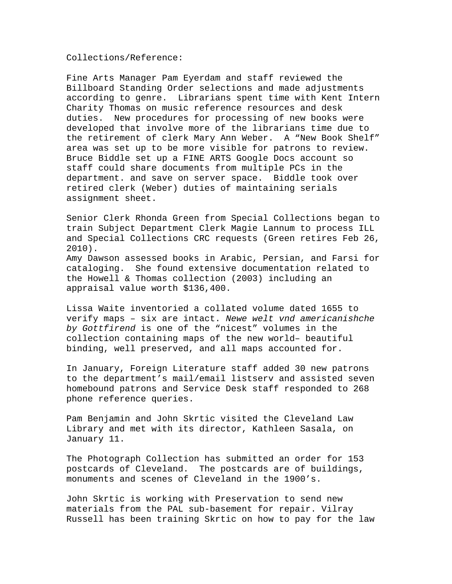Collections/Reference:

Fine Arts Manager Pam Eyerdam and staff reviewed the Billboard Standing Order selections and made adjustments according to genre. Librarians spent time with Kent Intern Charity Thomas on music reference resources and desk duties. New procedures for processing of new books were developed that involve more of the librarians time due to the retirement of clerk Mary Ann Weber. A "New Book Shelf" area was set up to be more visible for patrons to review. Bruce Biddle set up a FINE ARTS Google Docs account so staff could share documents from multiple PCs in the department. and save on server space. Biddle took over retired clerk (Weber) duties of maintaining serials assignment sheet.

Senior Clerk Rhonda Green from Special Collections began to train Subject Department Clerk Magie Lannum to process ILL and Special Collections CRC requests (Green retires Feb 26, 2010).

Amy Dawson assessed books in Arabic, Persian, and Farsi for cataloging. She found extensive documentation related to the Howell & Thomas collection (2003) including an appraisal value worth \$136,400.

Lissa Waite inventoried a collated volume dated 1655 to verify maps – six are intact. *Newe welt vnd americanishche by Gottfirend* is one of the "nicest" volumes in the collection containing maps of the new world– beautiful binding, well preserved, and all maps accounted for.

In January, Foreign Literature staff added 30 new patrons to the department's mail/email listserv and assisted seven homebound patrons and Service Desk staff responded to 268 phone reference queries.

Pam Benjamin and John Skrtic visited the Cleveland Law Library and met with its director, Kathleen Sasala, on January 11.

The Photograph Collection has submitted an order for 153 postcards of Cleveland. The postcards are of buildings, monuments and scenes of Cleveland in the 1900's.

John Skrtic is working with Preservation to send new materials from the PAL sub-basement for repair. Vilray Russell has been training Skrtic on how to pay for the law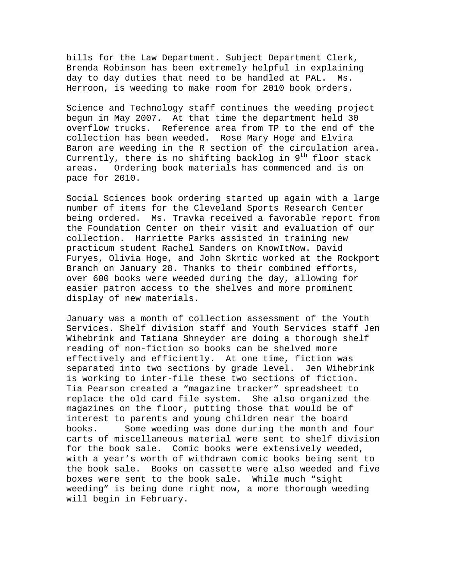bills for the Law Department. Subject Department Clerk, Brenda Robinson has been extremely helpful in explaining day to day duties that need to be handled at PAL. Ms. Herroon, is weeding to make room for 2010 book orders.

Science and Technology staff continues the weeding project begun in May 2007. At that time the department held 30 overflow trucks. Reference area from TP to the end of the collection has been weeded. Rose Mary Hoge and Elvira Baron are weeding in the R section of the circulation area. Currently, there is no shifting backlog in  $9<sup>th</sup>$  floor stack areas. Ordering book materials has commenced and is on pace for 2010.

Social Sciences book ordering started up again with a large number of items for the Cleveland Sports Research Center being ordered. Ms. Travka received a favorable report from the Foundation Center on their visit and evaluation of our collection. Harriette Parks assisted in training new practicum student Rachel Sanders on KnowItNow. David Furyes, Olivia Hoge, and John Skrtic worked at the Rockport Branch on January 28. Thanks to their combined efforts, over 600 books were weeded during the day, allowing for easier patron access to the shelves and more prominent display of new materials.

January was a month of collection assessment of the Youth Services. Shelf division staff and Youth Services staff Jen Wihebrink and Tatiana Shneyder are doing a thorough shelf reading of non-fiction so books can be shelved more effectively and efficiently. At one time, fiction was separated into two sections by grade level. Jen Wihebrink is working to inter-file these two sections of fiction. Tia Pearson created a "magazine tracker" spreadsheet to replace the old card file system. She also organized the magazines on the floor, putting those that would be of interest to parents and young children near the board books. Some weeding was done during the month and four carts of miscellaneous material were sent to shelf division for the book sale. Comic books were extensively weeded, with a year's worth of withdrawn comic books being sent to the book sale. Books on cassette were also weeded and five boxes were sent to the book sale. While much "sight weeding" is being done right now, a more thorough weeding will begin in February.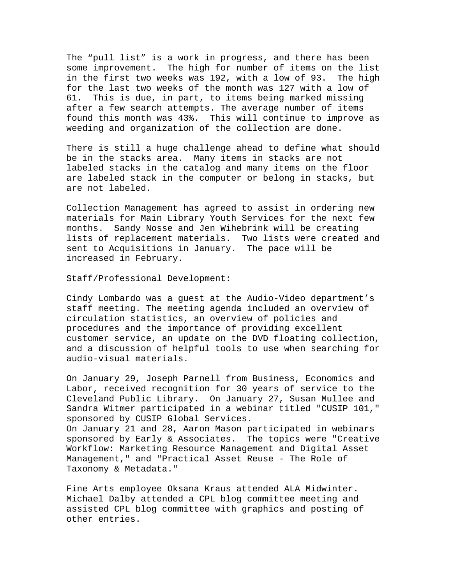The "pull list" is a work in progress, and there has been some improvement. The high for number of items on the list in the first two weeks was 192, with a low of 93. The high for the last two weeks of the month was 127 with a low of 61. This is due, in part, to items being marked missing after a few search attempts. The average number of items found this month was 43%. This will continue to improve as weeding and organization of the collection are done.

There is still a huge challenge ahead to define what should be in the stacks area. Many items in stacks are not labeled stacks in the catalog and many items on the floor are labeled stack in the computer or belong in stacks, but are not labeled.

Collection Management has agreed to assist in ordering new materials for Main Library Youth Services for the next few months. Sandy Nosse and Jen Wihebrink will be creating lists of replacement materials. Two lists were created and sent to Acquisitions in January. The pace will be increased in February.

Staff/Professional Development:

Cindy Lombardo was a guest at the Audio-Video department's staff meeting. The meeting agenda included an overview of circulation statistics, an overview of policies and procedures and the importance of providing excellent customer service, an update on the DVD floating collection, and a discussion of helpful tools to use when searching for audio-visual materials.

On January 29, Joseph Parnell from Business, Economics and Labor, received recognition for 30 years of service to the Cleveland Public Library. On January 27, Susan Mullee and Sandra Witmer participated in a webinar titled "CUSIP 101," sponsored by CUSIP Global Services. On January 21 and 28, Aaron Mason participated in webinars sponsored by Early & Associates. The topics were "Creative Workflow: Marketing Resource Management and Digital Asset Management," and "Practical Asset Reuse - The Role of Taxonomy & Metadata."

Fine Arts employee Oksana Kraus attended ALA Midwinter. Michael Dalby attended a CPL blog committee meeting and assisted CPL blog committee with graphics and posting of other entries.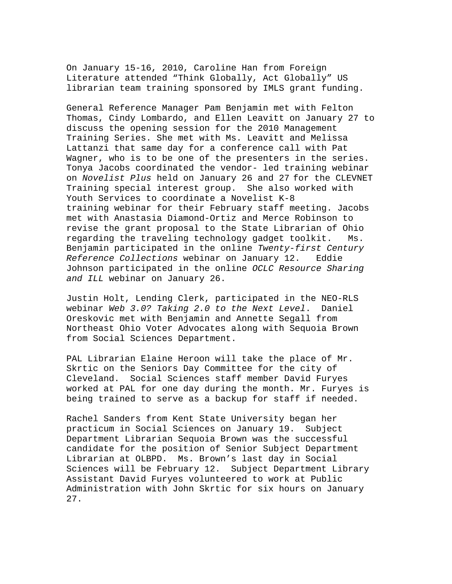On January 15-16, 2010, Caroline Han from Foreign Literature attended "Think Globally, Act Globally" US librarian team training sponsored by IMLS grant funding.

General Reference Manager Pam Benjamin met with Felton Thomas, Cindy Lombardo, and Ellen Leavitt on January 27 to discuss the opening session for the 2010 Management Training Series. She met with Ms. Leavitt and Melissa Lattanzi that same day for a conference call with Pat Wagner, who is to be one of the presenters in the series. Tonya Jacobs coordinated the vendor- led training webinar on *Novelist Plus* held on January 26 and 27 for the CLEVNET Training special interest group. She also worked with Youth Services to coordinate a Novelist K-8 training webinar for their February staff meeting. Jacobs met with Anastasia Diamond-Ortiz and Merce Robinson to revise the grant proposal to the State Librarian of Ohio regarding the traveling technology gadget toolkit. Ms. Benjamin participated in the online *Twenty-first Century Reference Collections* webinar on January 12. Eddie Johnson participated in the online *OCLC Resource Sharing and ILL* webinar on January 26.

Justin Holt, Lending Clerk, participated in the NEO-RLS webinar *Web 3.0? Taking 2.0 to the Next Level*. Daniel Oreskovic met with Benjamin and Annette Segall from Northeast Ohio Voter Advocates along with Sequoia Brown from Social Sciences Department.

PAL Librarian Elaine Heroon will take the place of Mr. Skrtic on the Seniors Day Committee for the city of Cleveland. Social Sciences staff member David Furyes worked at PAL for one day during the month. Mr. Furyes is being trained to serve as a backup for staff if needed.

Rachel Sanders from Kent State University began her practicum in Social Sciences on January 19. Subject Department Librarian Sequoia Brown was the successful candidate for the position of Senior Subject Department Librarian at OLBPD. Ms. Brown's last day in Social Sciences will be February 12. Subject Department Library Assistant David Furyes volunteered to work at Public Administration with John Skrtic for six hours on January 27.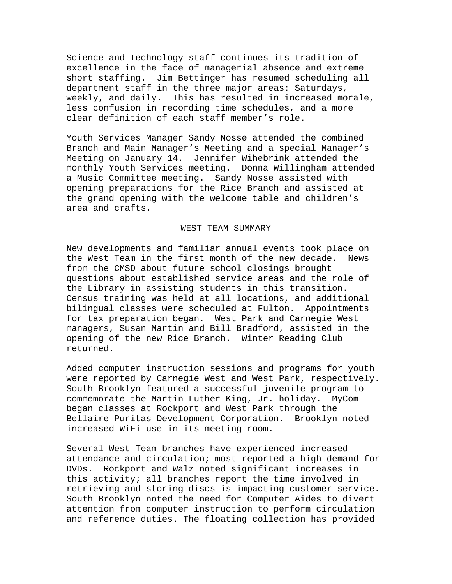Science and Technology staff continues its tradition of excellence in the face of managerial absence and extreme short staffing. Jim Bettinger has resumed scheduling all department staff in the three major areas: Saturdays, weekly, and daily. This has resulted in increased morale, less confusion in recording time schedules, and a more clear definition of each staff member's role.

Youth Services Manager Sandy Nosse attended the combined Branch and Main Manager's Meeting and a special Manager's Meeting on January 14. Jennifer Wihebrink attended the monthly Youth Services meeting. Donna Willingham attended a Music Committee meeting. Sandy Nosse assisted with opening preparations for the Rice Branch and assisted at the grand opening with the welcome table and children's area and crafts.

#### WEST TEAM SUMMARY

New developments and familiar annual events took place on the West Team in the first month of the new decade. News from the CMSD about future school closings brought questions about established service areas and the role of the Library in assisting students in this transition. Census training was held at all locations, and additional bilingual classes were scheduled at Fulton. Appointments for tax preparation began. West Park and Carnegie West managers, Susan Martin and Bill Bradford, assisted in the opening of the new Rice Branch. Winter Reading Club returned.

Added computer instruction sessions and programs for youth were reported by Carnegie West and West Park, respectively. South Brooklyn featured a successful juvenile program to commemorate the Martin Luther King, Jr. holiday. MyCom began classes at Rockport and West Park through the Bellaire-Puritas Development Corporation. Brooklyn noted increased WiFi use in its meeting room.

Several West Team branches have experienced increased attendance and circulation; most reported a high demand for DVDs. Rockport and Walz noted significant increases in this activity; all branches report the time involved in retrieving and storing discs is impacting customer service. South Brooklyn noted the need for Computer Aides to divert attention from computer instruction to perform circulation and reference duties. The floating collection has provided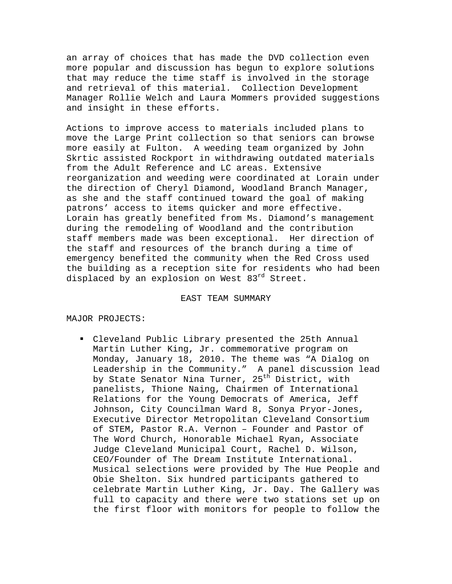an array of choices that has made the DVD collection even more popular and discussion has begun to explore solutions that may reduce the time staff is involved in the storage and retrieval of this material. Collection Development Manager Rollie Welch and Laura Mommers provided suggestions and insight in these efforts.

Actions to improve access to materials included plans to move the Large Print collection so that seniors can browse more easily at Fulton. A weeding team organized by John Skrtic assisted Rockport in withdrawing outdated materials from the Adult Reference and LC areas. Extensive reorganization and weeding were coordinated at Lorain under the direction of Cheryl Diamond, Woodland Branch Manager, as she and the staff continued toward the goal of making patrons' access to items quicker and more effective. Lorain has greatly benefited from Ms. Diamond's management during the remodeling of Woodland and the contribution staff members made was been exceptional. Her direction of the staff and resources of the branch during a time of emergency benefited the community when the Red Cross used the building as a reception site for residents who had been displaced by an explosion on West 83rd Street.

#### EAST TEAM SUMMARY

#### MAJOR PROJECTS:

 Cleveland Public Library presented the 25th Annual Martin Luther King, Jr. commemorative program on Monday, January 18, 2010. The theme was "A Dialog on Leadership in the Community." A panel discussion lead by State Senator Nina Turner, 25<sup>th</sup> District, with panelists, Thione Naing, Chairmen of International Relations for the Young Democrats of America, Jeff Johnson, City Councilman Ward 8, Sonya Pryor-Jones, Executive Director Metropolitan Cleveland Consortium of STEM, Pastor R.A. Vernon – Founder and Pastor of The Word Church, Honorable Michael Ryan, Associate Judge Cleveland Municipal Court, Rachel D. Wilson, CEO/Founder of The Dream Institute International. Musical selections were provided by The Hue People and Obie Shelton. Six hundred participants gathered to celebrate Martin Luther King, Jr. Day. The Gallery was full to capacity and there were two stations set up on the first floor with monitors for people to follow the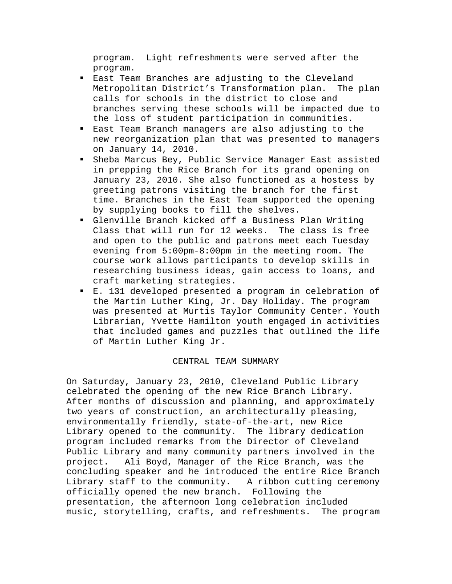program. Light refreshments were served after the program.

- East Team Branches are adjusting to the Cleveland Metropolitan District's Transformation plan. The plan calls for schools in the district to close and branches serving these schools will be impacted due to the loss of student participation in communities.
- East Team Branch managers are also adjusting to the new reorganization plan that was presented to managers on January 14, 2010.
- Sheba Marcus Bey, Public Service Manager East assisted in prepping the Rice Branch for its grand opening on January 23, 2010. She also functioned as a hostess by greeting patrons visiting the branch for the first time. Branches in the East Team supported the opening by supplying books to fill the shelves.
- Glenville Branch kicked off a Business Plan Writing Class that will run for 12 weeks. The class is free and open to the public and patrons meet each Tuesday evening from 5:00pm-8:00pm in the meeting room. The course work allows participants to develop skills in researching business ideas, gain access to loans, and craft marketing strategies.
- E. 131 developed presented a program in celebration of the Martin Luther King, Jr. Day Holiday. The program was presented at Murtis Taylor Community Center. Youth Librarian, Yvette Hamilton youth engaged in activities that included games and puzzles that outlined the life of Martin Luther King Jr.

## CENTRAL TEAM SUMMARY

On Saturday, January 23, 2010, Cleveland Public Library celebrated the opening of the new Rice Branch Library. After months of discussion and planning, and approximately two years of construction, an architecturally pleasing, environmentally friendly, state-of-the-art, new Rice Library opened to the community. The library dedication program included remarks from the Director of Cleveland Public Library and many community partners involved in the project. Ali Boyd, Manager of the Rice Branch, was the concluding speaker and he introduced the entire Rice Branch Library staff to the community. A ribbon cutting ceremony officially opened the new branch. Following the presentation, the afternoon long celebration included music, storytelling, crafts, and refreshments. The program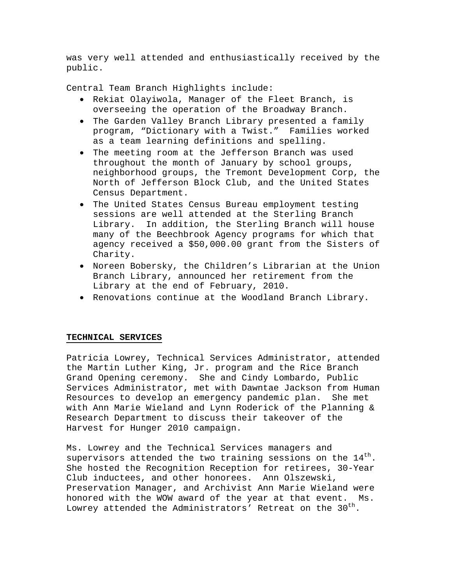was very well attended and enthusiastically received by the public.

Central Team Branch Highlights include:

- Rekiat Olayiwola, Manager of the Fleet Branch, is overseeing the operation of the Broadway Branch.
- The Garden Valley Branch Library presented a family program, "Dictionary with a Twist." Families worked as a team learning definitions and spelling.
- The meeting room at the Jefferson Branch was used throughout the month of January by school groups, neighborhood groups, the Tremont Development Corp, the North of Jefferson Block Club, and the United States Census Department.
- The United States Census Bureau employment testing sessions are well attended at the Sterling Branch Library. In addition, the Sterling Branch will house many of the Beechbrook Agency programs for which that agency received a \$50,000.00 grant from the Sisters of Charity.
- Noreen Bobersky, the Children's Librarian at the Union Branch Library, announced her retirement from the Library at the end of February, 2010.
- Renovations continue at the Woodland Branch Library.

## **TECHNICAL SERVICES**

Patricia Lowrey, Technical Services Administrator, attended the Martin Luther King, Jr. program and the Rice Branch Grand Opening ceremony. She and Cindy Lombardo, Public Services Administrator, met with Dawntae Jackson from Human Resources to develop an emergency pandemic plan. She met with Ann Marie Wieland and Lynn Roderick of the Planning & Research Department to discuss their takeover of the Harvest for Hunger 2010 campaign.

Ms. Lowrey and the Technical Services managers and supervisors attended the two training sessions on the  $14<sup>th</sup>$ . She hosted the Recognition Reception for retirees, 30-Year Club inductees, and other honorees. Ann Olszewski, Preservation Manager, and Archivist Ann Marie Wieland were honored with the WOW award of the year at that event. Ms. Lowrey attended the Administrators' Retreat on the  $30<sup>th</sup>$ .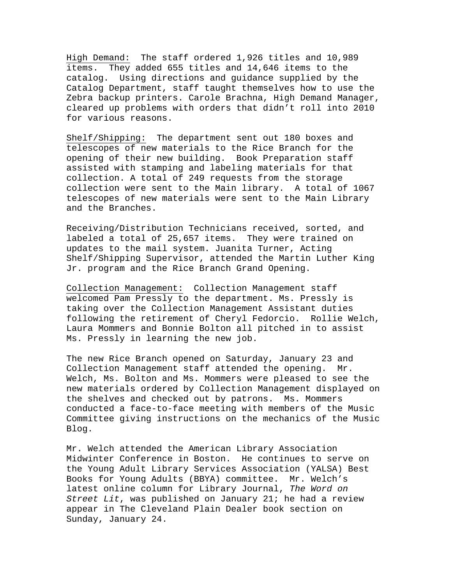High Demand: The staff ordered 1,926 titles and 10,989 items. They added 655 titles and 14,646 items to the catalog. Using directions and guidance supplied by the Catalog Department, staff taught themselves how to use the Zebra backup printers. Carole Brachna, High Demand Manager, cleared up problems with orders that didn't roll into 2010 for various reasons.

Shelf/Shipping: The department sent out 180 boxes and telescopes of new materials to the Rice Branch for the opening of their new building. Book Preparation staff assisted with stamping and labeling materials for that collection. A total of 249 requests from the storage collection were sent to the Main library. A total of 1067 telescopes of new materials were sent to the Main Library and the Branches.

Receiving/Distribution Technicians received, sorted, and labeled a total of 25,657 items. They were trained on updates to the mail system. Juanita Turner, Acting Shelf/Shipping Supervisor, attended the Martin Luther King Jr. program and the Rice Branch Grand Opening.

Collection Management: Collection Management staff welcomed Pam Pressly to the department. Ms. Pressly is taking over the Collection Management Assistant duties following the retirement of Cheryl Fedorcio. Rollie Welch, Laura Mommers and Bonnie Bolton all pitched in to assist Ms. Pressly in learning the new job.

The new Rice Branch opened on Saturday, January 23 and Collection Management staff attended the opening. Mr. Welch, Ms. Bolton and Ms. Mommers were pleased to see the new materials ordered by Collection Management displayed on the shelves and checked out by patrons. Ms. Mommers conducted a face-to-face meeting with members of the Music Committee giving instructions on the mechanics of the Music Blog.

Mr. Welch attended the American Library Association Midwinter Conference in Boston. He continues to serve on the Young Adult Library Services Association (YALSA) Best Books for Young Adults (BBYA) committee. Mr. Welch's latest online column for Library Journal, *The Word on Street Lit*, was published on January 21; he had a review appear in The Cleveland Plain Dealer book section on Sunday, January 24.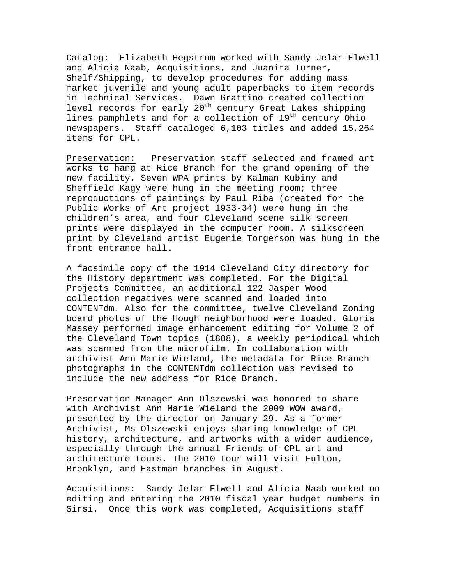Catalog: Elizabeth Hegstrom worked with Sandy Jelar-Elwell and Alicia Naab, Acquisitions, and Juanita Turner, Shelf/Shipping, to develop procedures for adding mass market juvenile and young adult paperbacks to item records in Technical Services. Dawn Grattino created collection level records for early 20<sup>th</sup> century Great Lakes shipping lines pamphlets and for a collection of 19<sup>th</sup> century Ohio newspapers. Staff cataloged 6,103 titles and added 15,264 items for CPL.

Preservation: Preservation staff selected and framed art works to hang at Rice Branch for the grand opening of the new facility. Seven WPA prints by Kalman Kubiny and Sheffield Kagy were hung in the meeting room; three reproductions of paintings by Paul Riba (created for the Public Works of Art project 1933-34) were hung in the children's area, and four Cleveland scene silk screen prints were displayed in the computer room. A silkscreen print by Cleveland artist Eugenie Torgerson was hung in the front entrance hall.

A facsimile copy of the 1914 Cleveland City directory for the History department was completed. For the Digital Projects Committee, an additional 122 Jasper Wood collection negatives were scanned and loaded into CONTENTdm. Also for the committee, twelve Cleveland Zoning board photos of the Hough neighborhood were loaded. Gloria Massey performed image enhancement editing for Volume 2 of the Cleveland Town topics (1888), a weekly periodical which was scanned from the microfilm. In collaboration with archivist Ann Marie Wieland, the metadata for Rice Branch photographs in the CONTENTdm collection was revised to include the new address for Rice Branch.

Preservation Manager Ann Olszewski was honored to share with Archivist Ann Marie Wieland the 2009 WOW award, presented by the director on January 29. As a former Archivist, Ms Olszewski enjoys sharing knowledge of CPL history, architecture, and artworks with a wider audience, especially through the annual Friends of CPL art and architecture tours. The 2010 tour will visit Fulton, Brooklyn, and Eastman branches in August.

Acquisitions: Sandy Jelar Elwell and Alicia Naab worked on editing and entering the 2010 fiscal year budget numbers in Sirsi. Once this work was completed, Acquisitions staff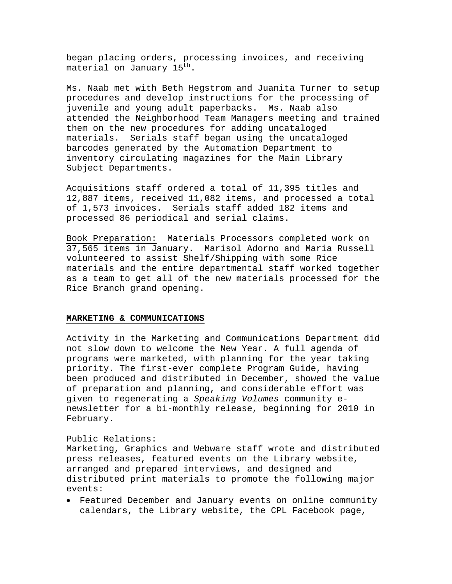began placing orders, processing invoices, and receiving material on January 15<sup>th</sup>.

Ms. Naab met with Beth Hegstrom and Juanita Turner to setup procedures and develop instructions for the processing of juvenile and young adult paperbacks. Ms. Naab also attended the Neighborhood Team Managers meeting and trained them on the new procedures for adding uncataloged materials. Serials staff began using the uncataloged barcodes generated by the Automation Department to inventory circulating magazines for the Main Library Subject Departments.

Acquisitions staff ordered a total of 11,395 titles and 12,887 items, received 11,082 items, and processed a total of 1,573 invoices. Serials staff added 182 items and processed 86 periodical and serial claims.

Book Preparation: Materials Processors completed work on 37,565 items in January. Marisol Adorno and Maria Russell volunteered to assist Shelf/Shipping with some Rice materials and the entire departmental staff worked together as a team to get all of the new materials processed for the Rice Branch grand opening.

#### **MARKETING & COMMUNICATIONS**

Activity in the Marketing and Communications Department did not slow down to welcome the New Year. A full agenda of programs were marketed, with planning for the year taking priority. The first-ever complete Program Guide, having been produced and distributed in December, showed the value of preparation and planning, and considerable effort was given to regenerating a *Speaking Volumes* community enewsletter for a bi-monthly release, beginning for 2010 in February.

#### Public Relations:

Marketing, Graphics and Webware staff wrote and distributed press releases, featured events on the Library website, arranged and prepared interviews, and designed and distributed print materials to promote the following major events:

• Featured December and January events on online community calendars, the Library website, the CPL Facebook page,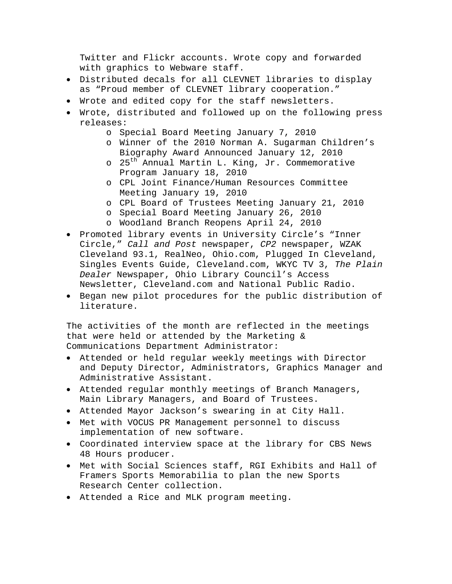Twitter and Flickr accounts. Wrote copy and forwarded with graphics to Webware staff.

- Distributed decals for all CLEVNET libraries to display as "Proud member of CLEVNET library cooperation."
- Wrote and edited copy for the staff newsletters.
- Wrote, distributed and followed up on the following press releases:
	- o Special Board Meeting January 7, 2010
	- o Winner of the 2010 Norman A. Sugarman Children's Biography Award Announced January 12, 2010
	- o 25<sup>th</sup> Annual Martin L. King, Jr. Commemorative Program January 18, 2010
	- o CPL Joint Finance/Human Resources Committee Meeting January 19, 2010
	- o CPL Board of Trustees Meeting January 21, 2010
	- o Special Board Meeting January 26, 2010
	- o Woodland Branch Reopens April 24, 2010
- Promoted library events in University Circle's "Inner Circle," *Call and Post* newspaper, *CP2* newspaper, WZAK Cleveland 93.1, RealNeo, Ohio.com, Plugged In Cleveland, Singles Events Guide, Cleveland.com, WKYC TV 3, *The Plain Dealer* Newspaper, Ohio Library Council's Access Newsletter, Cleveland.com and National Public Radio.
- Began new pilot procedures for the public distribution of literature.

The activities of the month are reflected in the meetings that were held or attended by the Marketing & Communications Department Administrator:

- Attended or held regular weekly meetings with Director and Deputy Director, Administrators, Graphics Manager and Administrative Assistant.
- Attended regular monthly meetings of Branch Managers, Main Library Managers, and Board of Trustees.
- Attended Mayor Jackson's swearing in at City Hall.
- Met with VOCUS PR Management personnel to discuss implementation of new software.
- Coordinated interview space at the library for CBS News 48 Hours producer.
- Met with Social Sciences staff, RGI Exhibits and Hall of Framers Sports Memorabilia to plan the new Sports Research Center collection.
- Attended a Rice and MLK program meeting.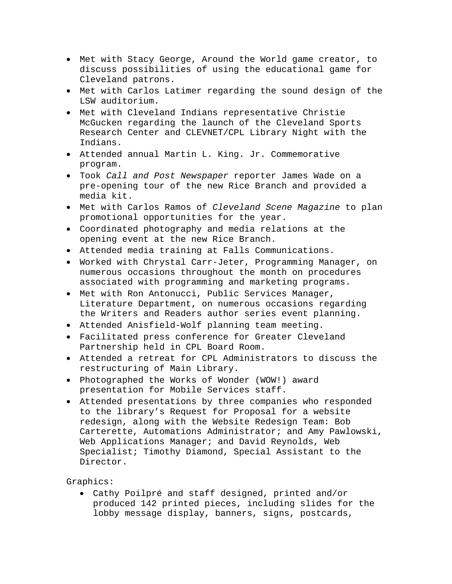- Met with Stacy George, Around the World game creator, to discuss possibilities of using the educational game for Cleveland patrons.
- Met with Carlos Latimer regarding the sound design of the LSW auditorium.
- Met with Cleveland Indians representative Christie McGucken regarding the launch of the Cleveland Sports Research Center and CLEVNET/CPL Library Night with the Indians.
- Attended annual Martin L. King. Jr. Commemorative program.
- Took *Call and Post Newspaper* reporter James Wade on a pre-opening tour of the new Rice Branch and provided a media kit.
- Met with Carlos Ramos of *Cleveland Scene Magazine* to plan promotional opportunities for the year.
- Coordinated photography and media relations at the opening event at the new Rice Branch.
- Attended media training at Falls Communications.
- Worked with Chrystal Carr-Jeter, Programming Manager, on numerous occasions throughout the month on procedures associated with programming and marketing programs.
- Met with Ron Antonucci, Public Services Manager, Literature Department, on numerous occasions regarding the Writers and Readers author series event planning.
- Attended Anisfield-Wolf planning team meeting.
- Facilitated press conference for Greater Cleveland Partnership held in CPL Board Room.
- Attended a retreat for CPL Administrators to discuss the restructuring of Main Library.
- Photographed the Works of Wonder (WOW!) award presentation for Mobile Services staff.
- Attended presentations by three companies who responded to the library's Request for Proposal for a website redesign, along with the Website Redesign Team: Bob Carterette, Automations Administrator; and Amy Pawlowski, Web Applications Manager; and David Reynolds, Web Specialist; Timothy Diamond, Special Assistant to the Director.

Graphics:

• Cathy Poilpré and staff designed, printed and/or produced 142 printed pieces, including slides for the lobby message display, banners, signs, postcards,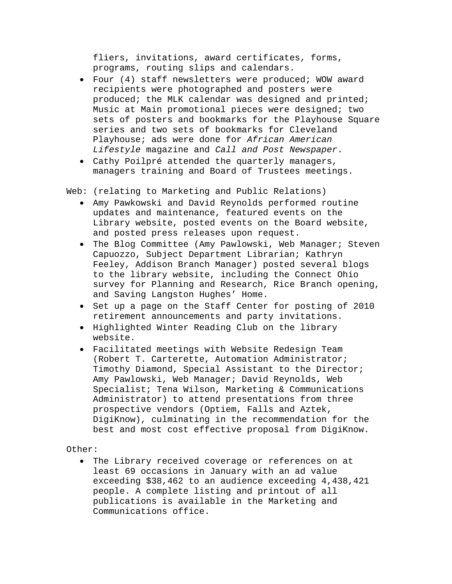fliers, invitations, award certificates, forms, programs, routing slips and calendars.

- Four (4) staff newsletters were produced; WOW award recipients were photographed and posters were produced; the MLK calendar was designed and printed; Music at Main promotional pieces were designed; two sets of posters and bookmarks for the Playhouse Square series and two sets of bookmarks for Cleveland Playhouse; ads were done for *African American Lifestyle* magazine and *Call and Post Newspaper*.
- Cathy Poilpré attended the quarterly managers, managers training and Board of Trustees meetings.

Web: (relating to Marketing and Public Relations)

- Amy Pawkowski and David Reynolds performed routine updates and maintenance, featured events on the Library website, posted events on the Board website, and posted press releases upon request.
- The Blog Committee (Amy Pawlowski, Web Manager; Steven Capuozzo, Subject Department Librarian; Kathryn Feeley, Addison Branch Manager) posted several blogs to the library website, including the Connect Ohio survey for Planning and Research, Rice Branch opening, and Saving Langston Hughes' Home.
- Set up a page on the Staff Center for posting of 2010 retirement announcements and party invitations.
- Highlighted Winter Reading Club on the library website.
- Facilitated meetings with Website Redesign Team (Robert T. Carterette, Automation Administrator; Timothy Diamond, Special Assistant to the Director; Amy Pawlowski, Web Manager; David Reynolds, Web Specialist; Tena Wilson, Marketing & Communications Administrator) to attend presentations from three prospective vendors (Optiem, Falls and Aztek, DigiKnow), culminating in the recommendation for the best and most cost effective proposal from DigiKnow.

Other:

• The Library received coverage or references on at least 69 occasions in January with an ad value exceeding \$38,462 to an audience exceeding 4,438,421 people. A complete listing and printout of all publications is available in the Marketing and Communications office.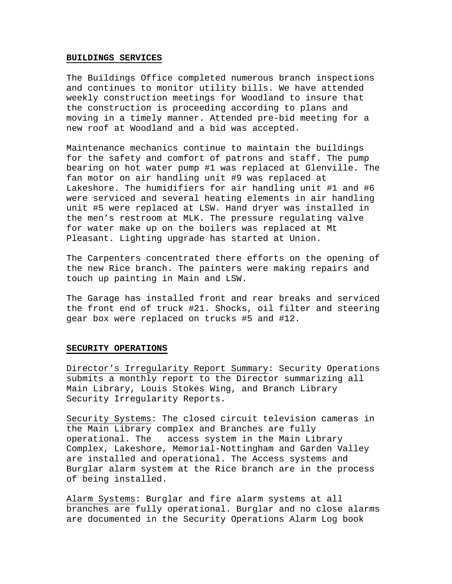#### **BUILDINGS SERVICES**

The Buildings Office completed numerous branch inspections and continues to monitor utility bills. We have attended weekly construction meetings for Woodland to insure that the construction is proceeding according to plans and moving in a timely manner. Attended pre-bid meeting for a new roof at Woodland and a bid was accepted.

Maintenance mechanics continue to maintain the buildings for the safety and comfort of patrons and staff. The pump bearing on hot water pump #1 was replaced at Glenville. The fan motor on air handling unit #9 was replaced at Lakeshore. The humidifiers for air handling unit #1 and #6 were serviced and several heating elements in air handling unit #5 were replaced at LSW. Hand dryer was installed in the men's restroom at MLK. The pressure regulating valve for water make up on the boilers was replaced at Mt Pleasant. Lighting upgrade has started at Union.

The Carpenters concentrated there efforts on the opening of the new Rice branch. The painters were making repairs and touch up painting in Main and LSW.

The Garage has installed front and rear breaks and serviced the front end of truck #21. Shocks, oil filter and steering gear box were replaced on trucks #5 and #12.

#### **SECURITY OPERATIONS**

Director's Irregularity Report Summary: Security Operations submits a monthly report to the Director summarizing all Main Library, Louis Stokes Wing, and Branch Library Security Irregularity Reports.

Security Systems: The closed circuit television cameras in the Main Library complex and Branches are fully operational. The access system in the Main Library Complex, Lakeshore, Memorial-Nottingham and Garden Valley are installed and operational. The Access systems and Burglar alarm system at the Rice branch are in the process of being installed.

Alarm Systems: Burglar and fire alarm systems at all branches are fully operational. Burglar and no close alarms are documented in the Security Operations Alarm Log book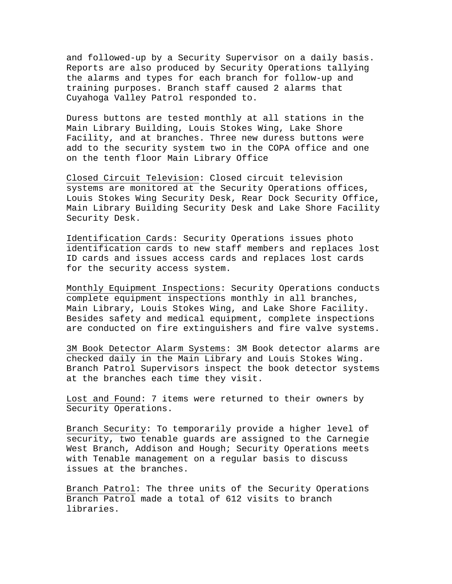and followed-up by a Security Supervisor on a daily basis. Reports are also produced by Security Operations tallying the alarms and types for each branch for follow-up and training purposes. Branch staff caused 2 alarms that Cuyahoga Valley Patrol responded to.

Duress buttons are tested monthly at all stations in the Main Library Building, Louis Stokes Wing, Lake Shore Facility, and at branches. Three new duress buttons were add to the security system two in the COPA office and one on the tenth floor Main Library Office

Closed Circuit Television: Closed circuit television systems are monitored at the Security Operations offices, Louis Stokes Wing Security Desk, Rear Dock Security Office, Main Library Building Security Desk and Lake Shore Facility Security Desk.

Identification Cards: Security Operations issues photo identification cards to new staff members and replaces lost ID cards and issues access cards and replaces lost cards for the security access system.

Monthly Equipment Inspections: Security Operations conducts complete equipment inspections monthly in all branches, Main Library, Louis Stokes Wing, and Lake Shore Facility. Besides safety and medical equipment, complete inspections are conducted on fire extinguishers and fire valve systems.

3M Book Detector Alarm Systems: 3M Book detector alarms are checked daily in the Main Library and Louis Stokes Wing. Branch Patrol Supervisors inspect the book detector systems at the branches each time they visit.

Lost and Found: 7 items were returned to their owners by Security Operations.

Branch Security: To temporarily provide a higher level of security, two tenable guards are assigned to the Carnegie West Branch, Addison and Hough; Security Operations meets with Tenable management on a regular basis to discuss issues at the branches.

Branch Patrol: The three units of the Security Operations Branch Patrol made a total of 612 visits to branch libraries.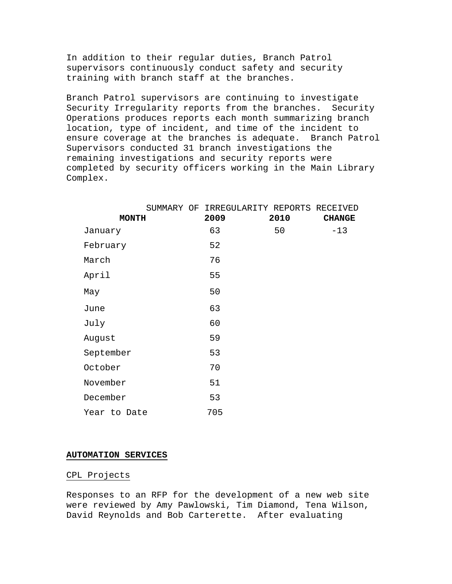In addition to their regular duties, Branch Patrol supervisors continuously conduct safety and security training with branch staff at the branches.

Branch Patrol supervisors are continuing to investigate Security Irregularity reports from the branches. Security Operations produces reports each month summarizing branch location, type of incident, and time of the incident to ensure coverage at the branches is adequate. Branch Patrol Supervisors conducted 31 branch investigations the remaining investigations and security reports were completed by security officers working in the Main Library Complex.

|              |  | SUMMARY OF IRREGULARITY REPORTS RECEIVED |      |               |
|--------------|--|------------------------------------------|------|---------------|
| <b>MONTH</b> |  | 2009                                     | 2010 | <b>CHANGE</b> |
| January      |  | 63                                       | 50   | $-13$         |
| February     |  | 52                                       |      |               |
| March        |  | 76                                       |      |               |
| April        |  | 55                                       |      |               |
| May          |  | 50                                       |      |               |
| June         |  | 63                                       |      |               |
| July         |  | 60                                       |      |               |
| August       |  | 59                                       |      |               |
| September    |  | 53                                       |      |               |
| October      |  | 70                                       |      |               |
| November     |  | 51                                       |      |               |
| December     |  | 53                                       |      |               |
| Year to Date |  | 705                                      |      |               |

#### **AUTOMATION SERVICES**

#### CPL Projects

Responses to an RFP for the development of a new web site were reviewed by Amy Pawlowski, Tim Diamond, Tena Wilson, David Reynolds and Bob Carterette. After evaluating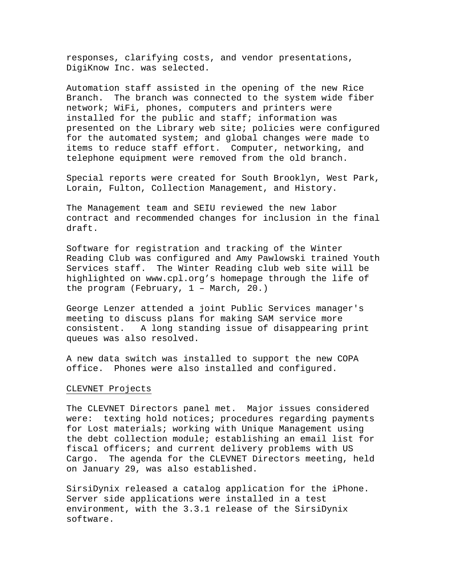responses, clarifying costs, and vendor presentations, DigiKnow Inc. was selected.

Automation staff assisted in the opening of the new Rice Branch. The branch was connected to the system wide fiber network; WiFi, phones, computers and printers were installed for the public and staff; information was presented on the Library web site; policies were configured for the automated system; and global changes were made to items to reduce staff effort. Computer, networking, and telephone equipment were removed from the old branch.

Special reports were created for South Brooklyn, West Park, Lorain, Fulton, Collection Management, and History.

The Management team and SEIU reviewed the new labor contract and recommended changes for inclusion in the final draft.

Software for registration and tracking of the Winter Reading Club was configured and Amy Pawlowski trained Youth Services staff. The Winter Reading club web site will be highlighted on www.cpl.org's homepage through the life of the program (February, 1 – March, 20.)

George Lenzer attended a joint Public Services manager's meeting to discuss plans for making SAM service more consistent. A long standing issue of disappearing print queues was also resolved.

A new data switch was installed to support the new COPA office. Phones were also installed and configured.

#### CLEVNET Projects

The CLEVNET Directors panel met. Major issues considered were: texting hold notices; procedures regarding payments for Lost materials; working with Unique Management using the debt collection module; establishing an email list for fiscal officers; and current delivery problems with US Cargo. The agenda for the CLEVNET Directors meeting, held on January 29, was also established.

SirsiDynix released a catalog application for the iPhone. Server side applications were installed in a test environment, with the 3.3.1 release of the SirsiDynix software.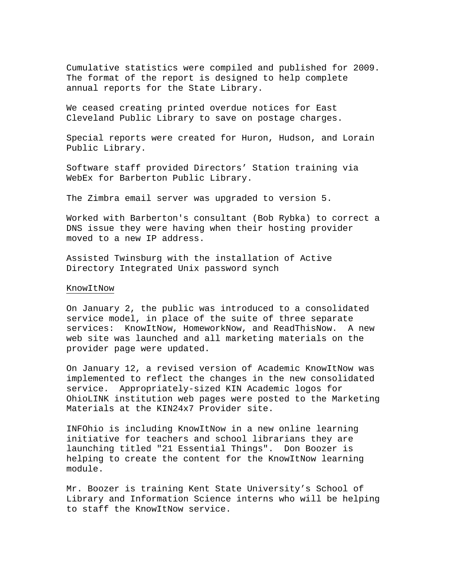Cumulative statistics were compiled and published for 2009. The format of the report is designed to help complete annual reports for the State Library.

We ceased creating printed overdue notices for East Cleveland Public Library to save on postage charges.

Special reports were created for Huron, Hudson, and Lorain Public Library.

Software staff provided Directors' Station training via WebEx for Barberton Public Library.

The Zimbra email server was upgraded to version 5.

Worked with Barberton's consultant (Bob Rybka) to correct a DNS issue they were having when their hosting provider moved to a new IP address.

Assisted Twinsburg with the installation of Active Directory Integrated Unix password synch

#### KnowItNow

On January 2, the public was introduced to a consolidated service model, in place of the suite of three separate services: KnowItNow, HomeworkNow, and ReadThisNow. A new web site was launched and all marketing materials on the provider page were updated.

On January 12, a revised version of Academic KnowItNow was implemented to reflect the changes in the new consolidated service. Appropriately-sized KIN Academic logos for OhioLINK institution web pages were posted to the Marketing Materials at the KIN24x7 Provider site.

INFOhio is including KnowItNow in a new online learning initiative for teachers and school librarians they are launching titled "21 Essential Things". Don Boozer is helping to create the content for the KnowItNow learning module.

Mr. Boozer is training Kent State University's School of Library and Information Science interns who will be helping to staff the KnowItNow service.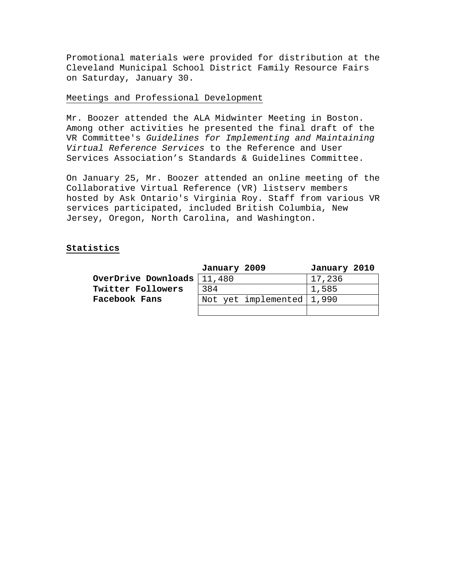Promotional materials were provided for distribution at the Cleveland Municipal School District Family Resource Fairs on Saturday, January 30.

## Meetings and Professional Development

Mr. Boozer attended the ALA Midwinter Meeting in Boston. Among other activities he presented the final draft of the VR Committee's *Guidelines for Implementing and Maintaining Virtual Reference Services* to the Reference and User Services Association's Standards & Guidelines Committee.

On January 25, Mr. Boozer attended an online meeting of the Collaborative Virtual Reference (VR) listserv members hosted by Ask Ontario's Virginia Roy. Staff from various VR services participated, included British Columbia, New Jersey, Oregon, North Carolina, and Washington.

# **Statistics**

|                              | January 2009 |                             | January 2010 |  |
|------------------------------|--------------|-----------------------------|--------------|--|
| OverDrive Downloads   11,480 |              |                             | 17,236       |  |
| Twitter Followers            | 384          |                             | 1,585        |  |
| Facebook Fans                |              | Not yet implemented   1,990 |              |  |
|                              |              |                             |              |  |